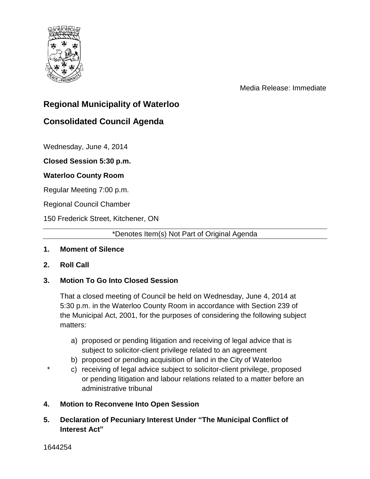

Media Release: Immediate

# **Regional Municipality of Waterloo**

# **Consolidated Council Agenda**

Wednesday, June 4, 2014

**Closed Session 5:30 p.m.** 

### **Waterloo County Room**

Regular Meeting 7:00 p.m.

Regional Council Chamber

150 Frederick Street, Kitchener, ON

\*Denotes Item(s) Not Part of Original Agenda

### **1. Moment of Silence**

**2. Roll Call**

#### **3. Motion To Go Into Closed Session**

That a closed meeting of Council be held on Wednesday, June 4, 2014 at 5:30 p.m. in the Waterloo County Room in accordance with Section 239 of the Municipal Act, 2001, for the purposes of considering the following subject matters:

- a) proposed or pending litigation and receiving of legal advice that is subject to solicitor-client privilege related to an agreement
- b) proposed or pending acquisition of land in the City of Waterloo
- c) receiving of legal advice subject to solicitor-client privilege, proposed or pending litigation and labour relations related to a matter before an administrative tribunal
- **4. Motion to Reconvene Into Open Session**
- **5. Declaration of Pecuniary Interest Under "The Municipal Conflict of Interest Act"**

1644254

\*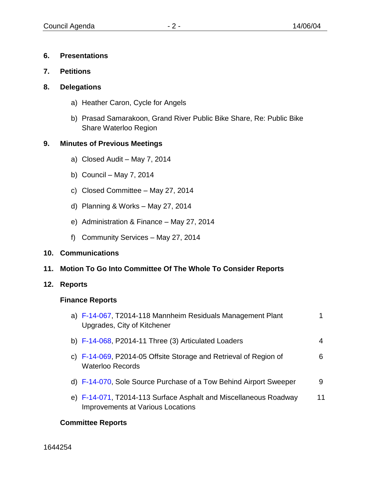### **6. Presentations**

- **7. Petitions**
- **8. Delegations**
	- a) Heather Caron, Cycle for Angels
	- b) Prasad Samarakoon, Grand River Public Bike Share, Re: Public Bike Share Waterloo Region

### **9. Minutes of Previous Meetings**

- a) Closed Audit May 7, 2014
- b) Council May 7, 2014
- c) Closed Committee May 27, 2014
- d) Planning & Works May 27, 2014
- e) Administration & Finance May 27, 2014
- f) Community Services May 27, 2014

#### **10. Communications**

**11. Motion To Go Into Committee Of The Whole To Consider Reports**

#### **12. Reports**

#### **Finance Reports**

| a) F-14-067, T2014-118 Mannheim Residuals Management Plant<br>Upgrades, City of Kitchener             |    |
|-------------------------------------------------------------------------------------------------------|----|
| b) $F-14-068$ , P2014-11 Three (3) Articulated Loaders                                                | 4  |
| c) F-14-069, P2014-05 Offsite Storage and Retrieval of Region of<br><b>Waterloo Records</b>           | 6  |
| d) F-14-070, Sole Source Purchase of a Tow Behind Airport Sweeper                                     | 9  |
| e) F-14-071, T2014-113 Surface Asphalt and Miscellaneous Roadway<br>Improvements at Various Locations | 11 |

#### **Committee Reports**

1644254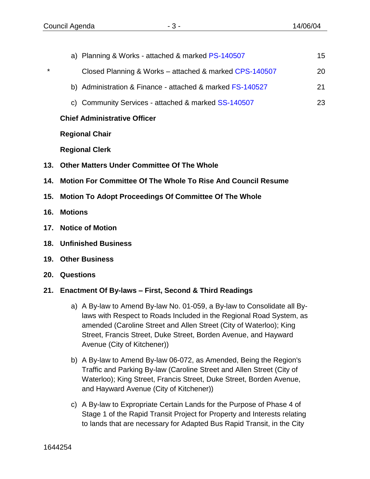\*

| a) Planning & Works - attached & marked PS-140507         | 15 |
|-----------------------------------------------------------|----|
| Closed Planning & Works - attached & marked CPS-140507    | 20 |
| b) Administration & Finance - attached & marked FS-140527 | 21 |
| c) Community Services - attached & marked SS-140507       | 23 |
| <b>Chief Administrative Officer</b>                       |    |

**Regional Chair**

**Regional Clerk**

- **13. Other Matters Under Committee Of The Whole**
- **14. Motion For Committee Of The Whole To Rise And Council Resume**
- **15. Motion To Adopt Proceedings Of Committee Of The Whole**
- **16. Motions**
- **17. Notice of Motion**
- **18. Unfinished Business**
- **19. Other Business**
- **20. Questions**

### **21. Enactment Of By-laws – First, Second & Third Readings**

- a) A By-law to Amend By-law No. 01-059, a By-law to Consolidate all Bylaws with Respect to Roads Included in the Regional Road System, as amended (Caroline Street and Allen Street (City of Waterloo); King Street, Francis Street, Duke Street, Borden Avenue, and Hayward Avenue (City of Kitchener))
- b) A By-law to Amend By-law 06-072, as Amended, Being the Region's Traffic and Parking By-law (Caroline Street and Allen Street (City of Waterloo); King Street, Francis Street, Duke Street, Borden Avenue, and Hayward Avenue (City of Kitchener))
- c) A By-law to Expropriate Certain Lands for the Purpose of Phase 4 of Stage 1 of the Rapid Transit Project for Property and Interests relating to lands that are necessary for Adapted Bus Rapid Transit, in the City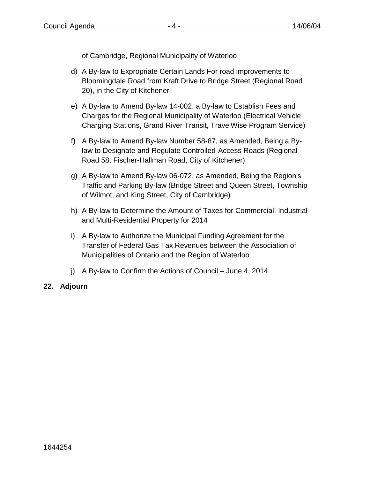of Cambridge, Regional Municipality of Waterloo

- d) A By-law to Expropriate Certain Lands For road improvements to Bloomingdale Road from Kraft Drive to Bridge Street (Regional Road 20), in the City of Kitchener
- e) A By-law to Amend By-law 14-002, a By-law to Establish Fees and Charges for the Regional Municipality of Waterloo (Electrical Vehicle Charging Stations, Grand River Transit, TravelWise Program Service)
- f) A By-law to Amend By-law Number 58-87, as Amended, Being a Bylaw to Designate and Regulate Controlled-Access Roads (Regional Road 58, Fischer-Hallman Road, City of Kitchener)
- g) A By-law to Amend By-law 06-072, as Amended, Being the Region's Traffic and Parking By-law (Bridge Street and Queen Street, Township of Wilmot, and King Street, City of Cambridge)
- h) A By-law to Determine the Amount of Taxes for Commercial, Industrial and Multi-Residential Property for 2014
- i) A By-law to Authorize the Municipal Funding Agreement for the Transfer of Federal Gas Tax Revenues between the Association of Municipalities of Ontario and the Region of Waterloo
- j) A By-law to Confirm the Actions of Council June 4, 2014

### **22. Adjourn**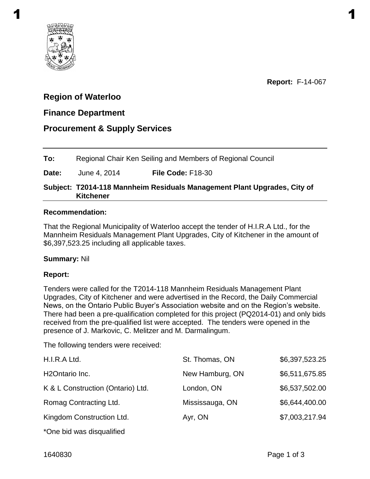<span id="page-4-0"></span>

# **Region of Waterloo**

# **Finance Department**

# **Procurement & Supply Services**

**To:** Regional Chair Ken Seiling and Members of Regional Council

**Date:** June 4, 2014 **File Code:** F18-30

### **Subject: T2014-118 Mannheim Residuals Management Plant Upgrades, City of Kitchener**

#### **Recommendation:**

That the Regional Municipality of Waterloo accept the tender of H.I.R.A Ltd., for the Mannheim Residuals Management Plant Upgrades, City of Kitchener in the amount of \$6,397,523.25 including all applicable taxes.

#### **Summary:** Nil

### **Report:**

Tenders were called for the T2014-118 Mannheim Residuals Management Plant Upgrades, City of Kitchener and were advertised in the Record, the Daily Commercial News, on the Ontario Public Buyer's Association website and on the Region's website. There had been a pre-qualification completed for this project (PQ2014-01) and only bids received from the pre-qualified list were accepted. The tenders were opened in the presence of J. Markovic, C. Melitzer and M. Darmalingum.

The following tenders were received:

| H.I.R.A Ltd.                      | St. Thomas, ON  | \$6,397,523.25 |
|-----------------------------------|-----------------|----------------|
| H <sub>2</sub> Ontario Inc.       | New Hamburg, ON | \$6,511,675.85 |
| K & L Construction (Ontario) Ltd. | London, ON      | \$6,537,502.00 |
| Romag Contracting Ltd.            | Mississauga, ON | \$6,644,400.00 |
| Kingdom Construction Ltd.         | Ayr, ON         | \$7,003,217.94 |
| *One bid was disqualified         |                 |                |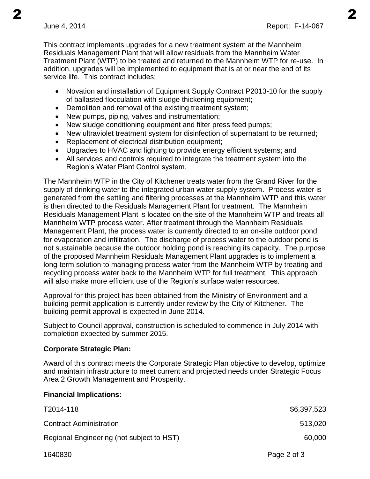This contract implements upgrades for a new treatment system at the Mannheim Residuals Management Plant that will allow residuals from the Mannheim Water Treatment Plant (WTP) to be treated and returned to the Mannheim WTP for re-use. In addition, upgrades will be implemented to equipment that is at or near the end of its service life. This contract includes:

- Novation and installation of Equipment Supply Contract P2013-10 for the supply of ballasted flocculation with sludge thickening equipment;
- Demolition and removal of the existing treatment system;
- New pumps, piping, valves and instrumentation;
- New sludge conditioning equipment and filter press feed pumps;
- New ultraviolet treatment system for disinfection of supernatant to be returned;
- Replacement of electrical distribution equipment;
- Upgrades to HVAC and lighting to provide energy efficient systems; and
- All services and controls required to integrate the treatment system into the Region's Water Plant Control system.

The Mannheim WTP in the City of Kitchener treats water from the Grand River for the supply of drinking water to the integrated urban water supply system. Process water is generated from the settling and filtering processes at the Mannheim WTP and this water is then directed to the Residuals Management Plant for treatment. The Mannheim Residuals Management Plant is located on the site of the Mannheim WTP and treats all Mannheim WTP process water. After treatment through the Mannheim Residuals Management Plant, the process water is currently directed to an on-site outdoor pond for evaporation and infiltration. The discharge of process water to the outdoor pond is not sustainable because the outdoor holding pond is reaching its capacity. The purpose of the proposed Mannheim Residuals Management Plant upgrades is to implement a long-term solution to managing process water from the Mannheim WTP by treating and recycling process water back to the Mannheim WTP for full treatment. This approach will also make more efficient use of the Region's surface water resources.

Approval for this project has been obtained from the Ministry of Environment and a building permit application is currently under review by the City of Kitchener. The building permit approval is expected in June 2014.

Subject to Council approval, construction is scheduled to commence in July 2014 with completion expected by summer 2015.

### **Corporate Strategic Plan:**

Award of this contract meets the Corporate Strategic Plan objective to develop, optimize and maintain infrastructure to meet current and projected needs under Strategic Focus Area 2 Growth Management and Prosperity.

### **Financial Implications:**

| T2014-118                                 | \$6,397,523 |
|-------------------------------------------|-------------|
| <b>Contract Administration</b>            | 513,020     |
| Regional Engineering (not subject to HST) | 60,000      |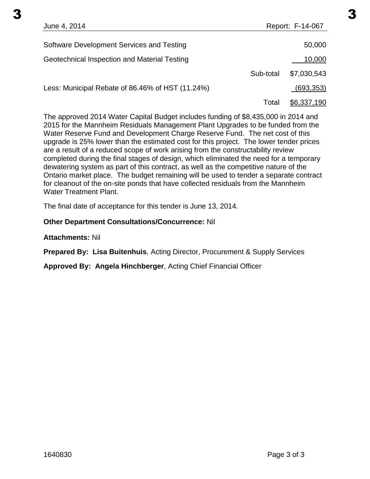June 4, 2014 **Report: F-14-067** Software Development Services and Testing 50,000 Software 50,000 Geotechnical Inspection and Material Testing 10,000 and 10,000 Sub-total \$7,030,543 Less: Municipal Rebate of 86.46% of HST (11.24%)  $(693,353)$  $3 \hspace{2.5cm} 3$ 

Total \$6,337,190

The approved 2014 Water Capital Budget includes funding of \$8,435,000 in 2014 and 2015 for the Mannheim Residuals Management Plant Upgrades to be funded from the Water Reserve Fund and Development Charge Reserve Fund. The net cost of this upgrade is 25% lower than the estimated cost for this project. The lower tender prices are a result of a reduced scope of work arising from the constructability review completed during the final stages of design, which eliminated the need for a temporary dewatering system as part of this contract, as well as the competitive nature of the Ontario market place. The budget remaining will be used to tender a separate contract for cleanout of the on-site ponds that have collected residuals from the Mannheim Water Treatment Plant.

The final date of acceptance for this tender is June 13, 2014.

### **Other Department Consultations/Concurrence:** Nil

**Attachments:** Nil

**Prepared By: Lisa Buitenhuis**, Acting Director, Procurement & Supply Services

**Approved By: Angela Hinchberger**, Acting Chief Financial Officer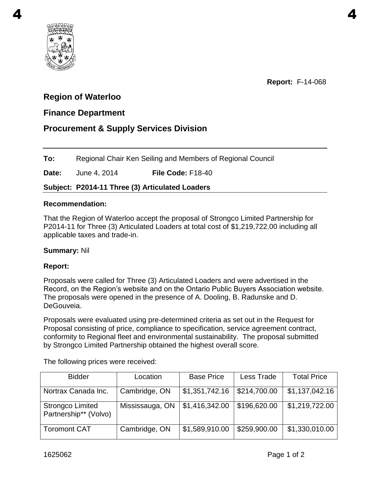<span id="page-7-0"></span>

# **Region of Waterloo**

# **Finance Department**

# **Procurement & Supply Services Division**

**To:** Regional Chair Ken Seiling and Members of Regional Council

**Date:** June 4, 2014 **File Code:** F18-40

### **Subject: P2014-11 Three (3) Articulated Loaders**

### **Recommendation:**

That the Region of Waterloo accept the proposal of Strongco Limited Partnership for P2014-11 for Three (3) Articulated Loaders at total cost of \$1,219,722.00 including all applicable taxes and trade-in.

### **Summary:** Nil

### **Report:**

Proposals were called for Three (3) Articulated Loaders and were advertised in the Record, on the Region's website and on the Ontario Public Buyers Association website. The proposals were opened in the presence of A. Dooling, B. Radunske and D. DeGouveia.

Proposals were evaluated using pre-determined criteria as set out in the Request for Proposal consisting of price, compliance to specification, service agreement contract, conformity to Regional fleet and environmental sustainability. The proposal submitted by Strongco Limited Partnership obtained the highest overall score.

The following prices were received:

| <b>Bidder</b>                                    | Location        | <b>Base Price</b> | Less Trade   | <b>Total Price</b> |
|--------------------------------------------------|-----------------|-------------------|--------------|--------------------|
| Nortrax Canada Inc.                              | Cambridge, ON   | \$1,351,742.16    | \$214,700.00 | \$1,137,042.16     |
| <b>Strongco Limited</b><br>Partnership** (Volvo) | Mississauga, ON | \$1,416,342.00    | \$196,620.00 | \$1,219,722.00     |
| <b>Toromont CAT</b>                              | Cambridge, ON   | \$1,589,910.00    | \$259,900.00 | \$1,330,010.00     |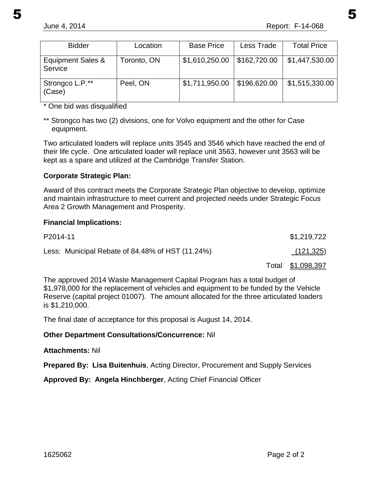| <b>Bidder</b>                | Location    | <b>Base Price</b> | Less Trade   | <b>Total Price</b> |
|------------------------------|-------------|-------------------|--------------|--------------------|
| Equipment Sales &<br>Service | Toronto, ON | \$1,610,250.00    | \$162,720.00 | \$1,447,530.00     |
| Strongco L.P.**<br>(Case)    | Peel, ON    | \$1,711,950.00    | \$196,620.00 | \$1,515,330.00     |

\* One bid was disqualified

\*\* Strongco has two (2) divisions, one for Volvo equipment and the other for Case equipment.

Two articulated loaders will replace units 3545 and 3546 which have reached the end of their life cycle. One articulated loader will replace unit 3563, however unit 3563 will be kept as a spare and utilized at the Cambridge Transfer Station.

### **Corporate Strategic Plan:**

Award of this contract meets the Corporate Strategic Plan objective to develop, optimize and maintain infrastructure to meet current and projected needs under Strategic Focus Area 2 Growth Management and Prosperity.

### **Financial Implications:**

| P2014-11                                         | \$1,219,722       |
|--------------------------------------------------|-------------------|
| Less: Municipal Rebate of 84.48% of HST (11.24%) | (121, 325)        |
|                                                  | Total \$1,098,397 |

The approved 2014 Waste Management Capital Program has a total budget of \$1,978,000 for the replacement of vehicles and equipment to be funded by the Vehicle Reserve (capital project 01007). The amount allocated for the three articulated loaders is \$1,210,000.

The final date of acceptance for this proposal is August 14, 2014.

### **Other Department Consultations/Concurrence:** Nil

#### **Attachments:** Nil

**Prepared By: Lisa Buitenhuis**, Acting Director, Procurement and Supply Services

**Approved By: Angela Hinchberger**, Acting Chief Financial Officer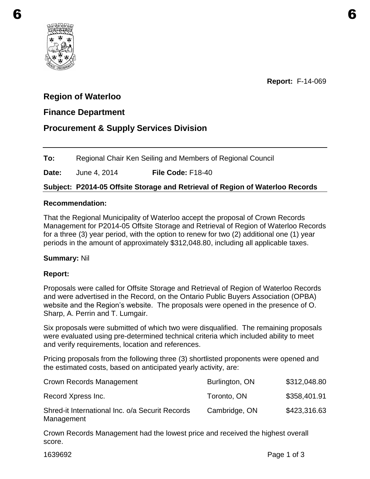<span id="page-9-0"></span>

**Report:** F-14-069

# **Region of Waterloo**

### **Finance Department**

# **Procurement & Supply Services Division**

**To:** Regional Chair Ken Seiling and Members of Regional Council

**Date:** June 4, 2014 **File Code:** F18-40

### **Subject: P2014-05 Offsite Storage and Retrieval of Region of Waterloo Records**

#### **Recommendation:**

That the Regional Municipality of Waterloo accept the proposal of Crown Records Management for P2014-05 Offsite Storage and Retrieval of Region of Waterloo Records for a three (3) year period, with the option to renew for two (2) additional one (1) year periods in the amount of approximately \$312,048.80, including all applicable taxes.

#### **Summary:** Nil

#### **Report:**

Proposals were called for Offsite Storage and Retrieval of Region of Waterloo Records and were advertised in the Record, on the Ontario Public Buyers Association (OPBA) website and the Region's website. The proposals were opened in the presence of O. Sharp, A. Perrin and T. Lumgair.

Six proposals were submitted of which two were disqualified. The remaining proposals were evaluated using pre-determined technical criteria which included ability to meet and verify requirements, location and references.

Pricing proposals from the following three (3) shortlisted proponents were opened and the estimated costs, based on anticipated yearly activity, are:

| Crown Records Management                                      | Burlington, ON | \$312,048.80 |
|---------------------------------------------------------------|----------------|--------------|
| Record Xpress Inc.                                            | Toronto, ON    | \$358,401.91 |
| Shred-it International Inc. o/a Securit Records<br>Management | Cambridge, ON  | \$423,316.63 |

Crown Records Management had the lowest price and received the highest overall score.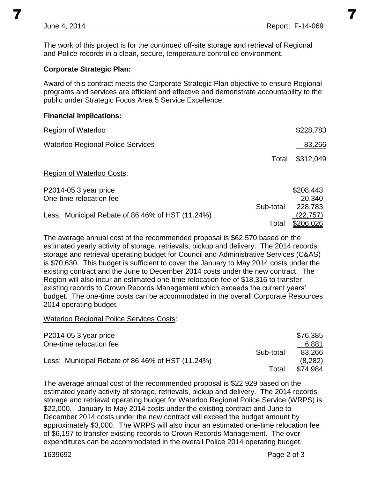The work of this project is for the continued off-site storage and retrieval of Regional and Police records in a clean, secure, temperature controlled environment.

### **Corporate Strategic Plan:**

Award of this contract meets the Corporate Strategic Plan objective to ensure Regional programs and services are efficient and effective and demonstrate accountability to the public under Strategic Focus Area 5 Service Excellence.

### **Financial Implications:**

| Region of Waterloo                               |           | \$228,783            |
|--------------------------------------------------|-----------|----------------------|
| <b>Waterloo Regional Police Services</b>         |           | 83,266               |
|                                                  | Total     | \$312,049            |
| <b>Region of Waterloo Costs:</b>                 |           |                      |
| P2014-05 3 year price<br>One-time relocation fee |           | \$208,443<br>20,340  |
| Less: Municipal Rebate of 86.46% of HST (11.24%) | Sub-total | 228,783<br>(22, 757) |
|                                                  | Total     | \$206,026            |

The average annual cost of the recommended proposal is \$62,570 based on the estimated yearly activity of storage, retrievals, pickup and delivery. The 2014 records storage and retrieval operating budget for Council and Administrative Services (C&AS) is \$70,630. This budget is sufficient to cover the January to May 2014 costs under the existing contract and the June to December 2014 costs under the new contract. The Region will also incur an estimated one-time relocation fee of \$18,316 to transfer existing records to Crown Records Management which exceeds the current years' budget. The one-time costs can be accommodated in the overall Corporate Resources 2014 operating budget.

#### Waterloo Regional Police Services Costs:

| P2014-05 3 year price                            |           | \$76,385 |
|--------------------------------------------------|-----------|----------|
| One-time relocation fee                          |           | 6,881    |
|                                                  | Sub-total | 83,266   |
| Less: Municipal Rebate of 86.46% of HST (11.24%) |           | (8,282)  |
|                                                  | Total     | \$74,984 |

The average annual cost of the recommended proposal is \$22,929 based on the estimated yearly activity of storage, retrievals, pickup and delivery. The 2014 records storage and retrieval operating budget for Waterloo Regional Police Service (WRPS) is \$22,000. January to May 2014 costs under the existing contract and June to December 2014 costs under the new contract will exceed the budget amount by approximately \$3,000. The WRPS will also incur an estimated one-time relocation fee of \$6,197 to transfer existing records to Crown Records Management. The over expenditures can be accommodated in the overall Police 2014 operating budget.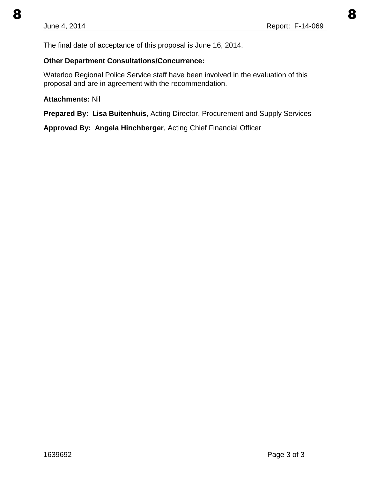The final date of acceptance of this proposal is June 16, 2014.

### **Other Department Consultations/Concurrence:**

Waterloo Regional Police Service staff have been involved in the evaluation of this proposal and are in agreement with the recommendation.

#### **Attachments:** Nil

**Prepared By: Lisa Buitenhuis**, Acting Director, Procurement and Supply Services

**Approved By: Angela Hinchberger**, Acting Chief Financial Officer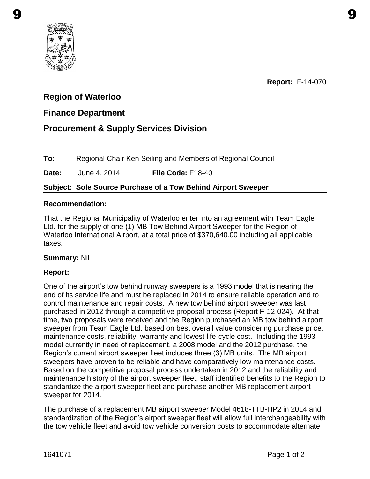<span id="page-12-0"></span>

**Report:** F-14-070

# **Region of Waterloo**

### **Finance Department**

# **Procurement & Supply Services Division**

**To:** Regional Chair Ken Seiling and Members of Regional Council

**Date:** June 4, 2014 **File Code:** F18-40

**Subject: Sole Source Purchase of a Tow Behind Airport Sweeper** 

#### **Recommendation:**

That the Regional Municipality of Waterloo enter into an agreement with Team Eagle Ltd. for the supply of one (1) MB Tow Behind Airport Sweeper for the Region of Waterloo International Airport, at a total price of \$370,640.00 including all applicable taxes.

#### **Summary:** Nil

#### **Report:**

One of the airport's tow behind runway sweepers is a 1993 model that is nearing the end of its service life and must be replaced in 2014 to ensure reliable operation and to control maintenance and repair costs. A new tow behind airport sweeper was last purchased in 2012 through a competitive proposal process (Report F-12-024). At that time, two proposals were received and the Region purchased an MB tow behind airport sweeper from Team Eagle Ltd. based on best overall value considering purchase price, maintenance costs, reliability, warranty and lowest life-cycle cost. Including the 1993 model currently in need of replacement, a 2008 model and the 2012 purchase, the Region's current airport sweeper fleet includes three (3) MB units. The MB airport sweepers have proven to be reliable and have comparatively low maintenance costs. Based on the competitive proposal process undertaken in 2012 and the reliability and maintenance history of the airport sweeper fleet, staff identified benefits to the Region to standardize the airport sweeper fleet and purchase another MB replacement airport sweeper for 2014.

The purchase of a replacement MB airport sweeper Model 4618-TTB-HP2 in 2014 and standardization of the Region's airport sweeper fleet will allow full interchangeability with the tow vehicle fleet and avoid tow vehicle conversion costs to accommodate alternate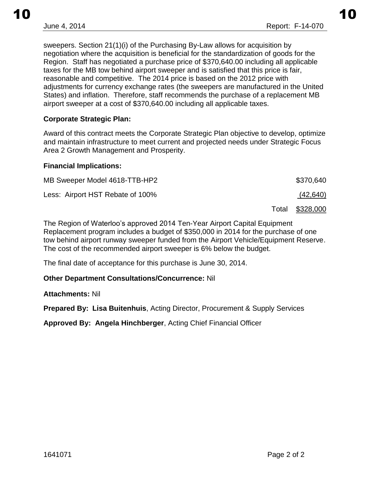sweepers. Section 21(1)(i) of the Purchasing By-Law allows for acquisition by negotiation where the acquisition is beneficial for the standardization of goods for the Region. Staff has negotiated a purchase price of \$370,640.00 including all applicable taxes for the MB tow behind airport sweeper and is satisfied that this price is fair, reasonable and competitive. The 2014 price is based on the 2012 price with adjustments for currency exchange rates (the sweepers are manufactured in the United States) and inflation. Therefore, staff recommends the purchase of a replacement MB airport sweeper at a cost of \$370,640.00 including all applicable taxes.

### **Corporate Strategic Plan:**

Award of this contract meets the Corporate Strategic Plan objective to develop, optimize and maintain infrastructure to meet current and projected needs under Strategic Focus Area 2 Growth Management and Prosperity.

#### **Financial Implications:**

| MB Sweeper Model 4618-TTB-HP2    | \$370,640       |
|----------------------------------|-----------------|
| Less: Airport HST Rebate of 100% | (42, 640)       |
|                                  | Total \$328,000 |

The Region of Waterloo's approved 2014 Ten-Year Airport Capital Equipment Replacement program includes a budget of \$350,000 in 2014 for the purchase of one tow behind airport runway sweeper funded from the Airport Vehicle/Equipment Reserve. The cost of the recommended airport sweeper is 6% below the budget.

The final date of acceptance for this purchase is June 30, 2014.

#### **Other Department Consultations/Concurrence:** Nil

**Attachments:** Nil

**Prepared By: Lisa Buitenhuis**, Acting Director, Procurement & Supply Services

**Approved By: Angela Hinchberger**, Acting Chief Financial Officer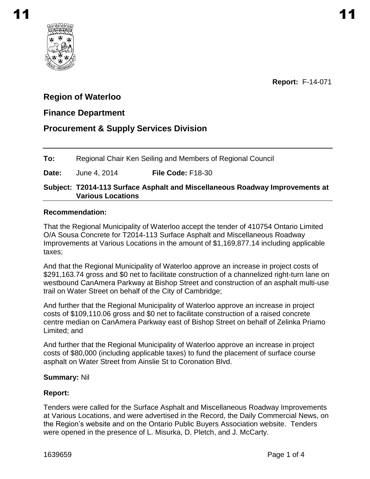<span id="page-14-0"></span>

**Report:** F-14-071

# **Region of Waterloo**

# **Finance Department**

# **Procurement & Supply Services Division**

**To:** Regional Chair Ken Seiling and Members of Regional Council

### **Date:** June 4, 2014 **File Code:** F18-30

#### **Subject: T2014-113 Surface Asphalt and Miscellaneous Roadway Improvements at Various Locations**

#### **Recommendation:**

That the Regional Municipality of Waterloo accept the tender of 410754 Ontario Limited O/A Sousa Concrete for T2014-113 Surface Asphalt and Miscellaneous Roadway Improvements at Various Locations in the amount of \$1,169,877.14 including applicable taxes;

And that the Regional Municipality of Waterloo approve an increase in project costs of \$291,163.74 gross and \$0 net to facilitate construction of a channelized right-turn lane on westbound CanAmera Parkway at Bishop Street and construction of an asphalt multi-use trail on Water Street on behalf of the City of Cambridge;

And further that the Regional Municipality of Waterloo approve an increase in project costs of \$109,110.06 gross and \$0 net to facilitate construction of a raised concrete centre median on CanAmera Parkway east of Bishop Street on behalf of Zelinka Priamo Limited; and

And further that the Regional Municipality of Waterloo approve an increase in project costs of \$80,000 (including applicable taxes) to fund the placement of surface course asphalt on Water Street from Ainslie St to Coronation Blvd.

#### **Summary:** Nil

#### **Report:**

Tenders were called for the Surface Asphalt and Miscellaneous Roadway Improvements at Various Locations, and were advertised in the Record, the Daily Commercial News, on the Region's website and on the Ontario Public Buyers Association website. Tenders were opened in the presence of L. Misurka, D. Pletch, and J. McCarty.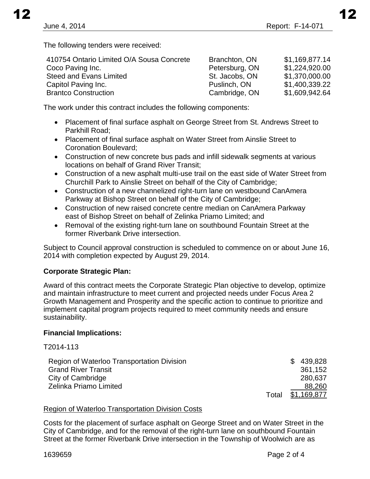The following tenders were received:

| 410754 Ontario Limited O/A Sousa Concrete | Branchton, ON  | \$1,169,877.14 |
|-------------------------------------------|----------------|----------------|
| Coco Paving Inc.                          | Petersburg, ON | \$1,224,920.00 |
| <b>Steed and Evans Limited</b>            | St. Jacobs, ON | \$1,370,000.00 |
| Capitol Paving Inc.                       | Puslinch, ON   | \$1,400,339.22 |
| <b>Brantco Construction</b>               | Cambridge, ON  | \$1,609,942.64 |

The work under this contract includes the following components:

- Placement of final surface asphalt on George Street from St. Andrews Street to Parkhill Road;
- Placement of final surface asphalt on Water Street from Ainslie Street to Coronation Boulevard;
- Construction of new concrete bus pads and infill sidewalk segments at various locations on behalf of Grand River Transit;
- Construction of a new asphalt multi-use trail on the east side of Water Street from Churchill Park to Ainslie Street on behalf of the City of Cambridge;
- Construction of a new channelized right-turn lane on westbound CanAmera Parkway at Bishop Street on behalf of the City of Cambridge;
- Construction of new raised concrete centre median on CanAmera Parkway east of Bishop Street on behalf of Zelinka Priamo Limited; and
- Removal of the existing right-turn lane on southbound Fountain Street at the former Riverbank Drive intersection.

Subject to Council approval construction is scheduled to commence on or about June 16, 2014 with completion expected by August 29, 2014.

### **Corporate Strategic Plan:**

Award of this contract meets the Corporate Strategic Plan objective to develop, optimize and maintain infrastructure to meet current and projected needs under Focus Area 2 Growth Management and Prosperity and the specific action to continue to prioritize and implement capital program projects required to meet community needs and ensure sustainability.

### **Financial Implications:**

T2014-113

| Region of Waterloo Transportation Division |       | \$439,828   |
|--------------------------------------------|-------|-------------|
| <b>Grand River Transit</b>                 |       | 361,152     |
| City of Cambridge                          |       | 280.637     |
| Zelinka Priamo Limited                     |       | 88,260      |
|                                            | Total | \$1,169,877 |

#### Region of Waterloo Transportation Division Costs

Costs for the placement of surface asphalt on George Street and on Water Street in the City of Cambridge, and for the removal of the right-turn lane on southbound Fountain Street at the former Riverbank Drive intersection in the Township of Woolwich are as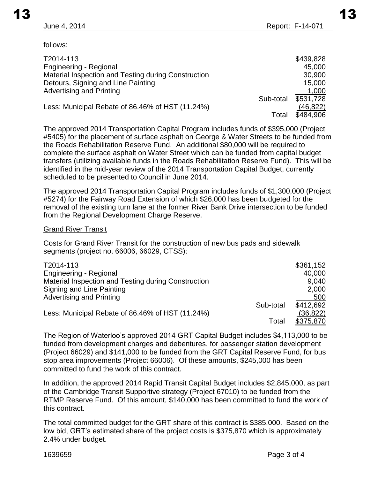follows:

| T2014-113                                           |           | \$439,828 |
|-----------------------------------------------------|-----------|-----------|
| <b>Engineering - Regional</b>                       |           | 45,000    |
| Material Inspection and Testing during Construction |           | 30,900    |
| Detours, Signing and Line Painting                  |           | 15,000    |
| <b>Advertising and Printing</b>                     |           | 1,000     |
|                                                     | Sub-total | \$531,728 |
| Less: Municipal Rebate of 86.46% of HST (11.24%)    |           | (46,822)  |
|                                                     | Total     | \$484,906 |

The approved 2014 Transportation Capital Program includes funds of \$395,000 (Project #5405) for the placement of surface asphalt on George & Water Streets to be funded from the Roads Rehabilitation Reserve Fund. An additional \$80,000 will be required to complete the surface asphalt on Water Street which can be funded from capital budget transfers (utilizing available funds in the Roads Rehabilitation Reserve Fund). This will be identified in the mid-year review of the 2014 Transportation Capital Budget, currently scheduled to be presented to Council in June 2014.

The approved 2014 Transportation Capital Program includes funds of \$1,300,000 (Project #5274) for the Fairway Road Extension of which \$26,000 has been budgeted for the removal of the existing turn lane at the former River Bank Drive intersection to be funded from the Regional Development Charge Reserve.

#### Grand River Transit

Costs for Grand River Transit for the construction of new bus pads and sidewalk segments (project no. 66006, 66029, CTSS):

| T2014-113                                           |           | \$361,152 |
|-----------------------------------------------------|-----------|-----------|
| Engineering - Regional                              |           | 40,000    |
| Material Inspection and Testing during Construction |           | 9,040     |
| Signing and Line Painting                           |           | 2,000     |
| Advertising and Printing                            |           | 500       |
|                                                     | Sub-total | \$412,692 |
| Less: Municipal Rebate of 86.46% of HST (11.24%)    |           | (36, 822) |
|                                                     | Total     | \$375,870 |

The Region of Waterloo's approved 2014 GRT Capital Budget includes \$4,113,000 to be funded from development charges and debentures, for passenger station development (Project 66029) and \$141,000 to be funded from the GRT Capital Reserve Fund, for bus stop area improvements (Project 66006). Of these amounts, \$245,000 has been committed to fund the work of this contract.

In addition, the approved 2014 Rapid Transit Capital Budget includes \$2,845,000, as part of the Cambridge Transit Supportive strategy (Project 67010) to be funded from the RTMP Reserve Fund. Of this amount, \$140,000 has been committed to fund the work of this contract.

The total committed budget for the GRT share of this contract is \$385,000. Based on the low bid, GRT's estimated share of the project costs is \$375,870 which is approximately 2.4% under budget.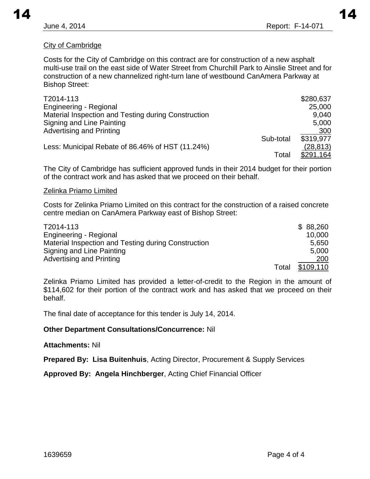#### City of Cambridge

Costs for the City of Cambridge on this contract are for construction of a new asphalt multi-use trail on the east side of Water Street from Churchill Park to Ainslie Street and for construction of a new channelized right-turn lane of westbound CanAmera Parkway at Bishop Street:

| T2014-113                                           |           | \$280,637 |
|-----------------------------------------------------|-----------|-----------|
| <b>Engineering - Regional</b>                       |           | 25,000    |
| Material Inspection and Testing during Construction |           | 9,040     |
| Signing and Line Painting                           |           | 5,000     |
| <b>Advertising and Printing</b>                     |           | 300       |
|                                                     | Sub-total | \$319.977 |
| Less: Municipal Rebate of 86.46% of HST (11.24%)    |           | (28, 813) |
|                                                     | Total     | \$291,164 |

The City of Cambridge has sufficient approved funds in their 2014 budget for their portion of the contract work and has asked that we proceed on their behalf.

#### Zelinka Priamo Limited

Costs for Zelinka Priamo Limited on this contract for the construction of a raised concrete centre median on CanAmera Parkway east of Bishop Street:

| T2014-113                                           |       | \$88,260  |
|-----------------------------------------------------|-------|-----------|
| Engineering - Regional                              |       | 10,000    |
| Material Inspection and Testing during Construction |       | 5,650     |
| Signing and Line Painting                           |       | 5,000     |
| <b>Advertising and Printing</b>                     |       | 200       |
|                                                     | Total | \$109,110 |

Zelinka Priamo Limited has provided a letter-of-credit to the Region in the amount of \$114,602 for their portion of the contract work and has asked that we proceed on their behalf.

The final date of acceptance for this tender is July 14, 2014.

#### **Other Department Consultations/Concurrence:** Nil

#### **Attachments:** Nil

**Prepared By: Lisa Buitenhuis**, Acting Director, Procurement & Supply Services

**Approved By: Angela Hinchberger**, Acting Chief Financial Officer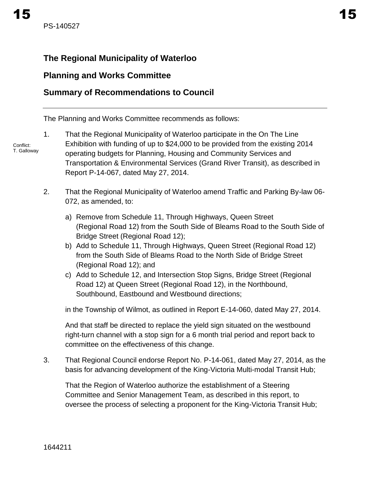# <span id="page-18-0"></span>**Planning and Works Committee**

# **Summary of Recommendations to Council**

The Planning and Works Committee recommends as follows:

- Conflict: T. Galloway 1. That the Regional Municipality of Waterloo participate in the On The Line Exhibition with funding of up to \$24,000 to be provided from the existing 2014 operating budgets for Planning, Housing and Community Services and Transportation & Environmental Services (Grand River Transit), as described in Report P-14-067, dated May 27, 2014.
	- 2. That the Regional Municipality of Waterloo amend Traffic and Parking By-law 06- 072, as amended, to:
		- a) Remove from Schedule 11, Through Highways, Queen Street (Regional Road 12) from the South Side of Bleams Road to the South Side of Bridge Street (Regional Road 12);
		- b) Add to Schedule 11, Through Highways, Queen Street (Regional Road 12) from the South Side of Bleams Road to the North Side of Bridge Street (Regional Road 12); and
		- c) Add to Schedule 12, and Intersection Stop Signs, Bridge Street (Regional Road 12) at Queen Street (Regional Road 12), in the Northbound, Southbound, Eastbound and Westbound directions;

in the Township of Wilmot, as outlined in Report E-14-060, dated May 27, 2014.

And that staff be directed to replace the yield sign situated on the westbound right-turn channel with a stop sign for a 6 month trial period and report back to committee on the effectiveness of this change.

3. That Regional Council endorse Report No. P-14-061, dated May 27, 2014, as the basis for advancing development of the King-Victoria Multi-modal Transit Hub;

That the Region of Waterloo authorize the establishment of a Steering Committee and Senior Management Team, as described in this report, to oversee the process of selecting a proponent for the King-Victoria Transit Hub;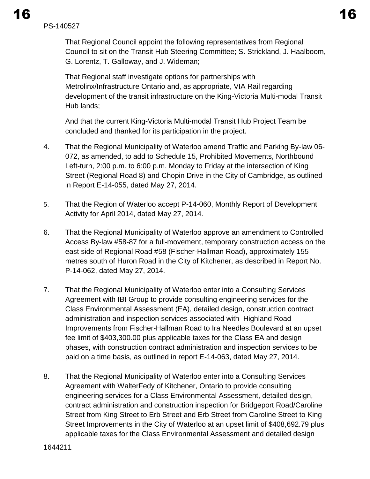That Regional Council appoint the following representatives from Regional Council to sit on the Transit Hub Steering Committee; S. Strickland, J. Haalboom, G. Lorentz, T. Galloway, and J. Wideman;

That Regional staff investigate options for partnerships with Metrolinx/Infrastructure Ontario and, as appropriate, VIA Rail regarding development of the transit infrastructure on the King-Victoria Multi-modal Transit Hub lands;

And that the current King-Victoria Multi-modal Transit Hub Project Team be concluded and thanked for its participation in the project.

- 4. That the Regional Municipality of Waterloo amend Traffic and Parking By-law 06- 072, as amended, to add to Schedule 15, Prohibited Movements, Northbound Left-turn, 2:00 p.m. to 6:00 p.m. Monday to Friday at the intersection of King Street (Regional Road 8) and Chopin Drive in the City of Cambridge, as outlined in Report E-14-055, dated May 27, 2014.
- 5. That the Region of Waterloo accept P-14-060, Monthly Report of Development Activity for April 2014, dated May 27, 2014.
- 6. That the Regional Municipality of Waterloo approve an amendment to Controlled Access By-law #58-87 for a full-movement, temporary construction access on the east side of Regional Road #58 (Fischer-Hallman Road), approximately 155 metres south of Huron Road in the City of Kitchener, as described in Report No. P-14-062, dated May 27, 2014.
- 7. That the Regional Municipality of Waterloo enter into a Consulting Services Agreement with IBI Group to provide consulting engineering services for the Class Environmental Assessment (EA), detailed design, construction contract administration and inspection services associated with Highland Road Improvements from Fischer-Hallman Road to Ira Needles Boulevard at an upset fee limit of \$403,300.00 plus applicable taxes for the Class EA and design phases, with construction contract administration and inspection services to be paid on a time basis, as outlined in report E-14-063, dated May 27, 2014.
- 8. That the Regional Municipality of Waterloo enter into a Consulting Services Agreement with WalterFedy of Kitchener, Ontario to provide consulting engineering services for a Class Environmental Assessment, detailed design, contract administration and construction inspection for Bridgeport Road/Caroline Street from King Street to Erb Street and Erb Street from Caroline Street to King Street Improvements in the City of Waterloo at an upset limit of \$408,692.79 plus applicable taxes for the Class Environmental Assessment and detailed design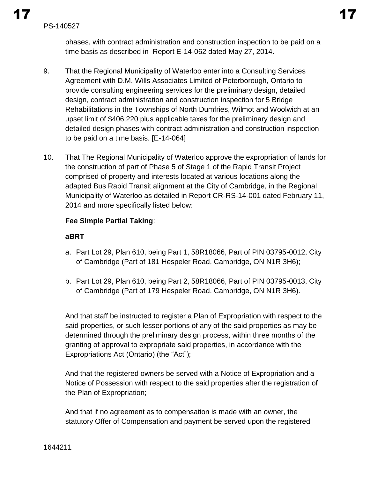phases, with contract administration and construction inspection to be paid on a time basis as described in Report E-14-062 dated May 27, 2014.

- 9. That the Regional Municipality of Waterloo enter into a Consulting Services Agreement with D.M. Wills Associates Limited of Peterborough, Ontario to provide consulting engineering services for the preliminary design, detailed design, contract administration and construction inspection for 5 Bridge Rehabilitations in the Townships of North Dumfries, Wilmot and Woolwich at an upset limit of \$406,220 plus applicable taxes for the preliminary design and detailed design phases with contract administration and construction inspection to be paid on a time basis. [E-14-064]
- 10. That The Regional Municipality of Waterloo approve the expropriation of lands for the construction of part of Phase 5 of Stage 1 of the Rapid Transit Project comprised of property and interests located at various locations along the adapted Bus Rapid Transit alignment at the City of Cambridge, in the Regional Municipality of Waterloo as detailed in Report CR-RS-14-001 dated February 11, 2014 and more specifically listed below:

### **Fee Simple Partial Taking**:

### **aBRT**

- a. Part Lot 29, Plan 610, being Part 1, 58R18066, Part of PIN 03795-0012, City of Cambridge (Part of 181 Hespeler Road, Cambridge, ON N1R 3H6);
- b. Part Lot 29, Plan 610, being Part 2, 58R18066, Part of PIN 03795-0013, City of Cambridge (Part of 179 Hespeler Road, Cambridge, ON N1R 3H6).

And that staff be instructed to register a Plan of Expropriation with respect to the said properties, or such lesser portions of any of the said properties as may be determined through the preliminary design process, within three months of the granting of approval to expropriate said properties, in accordance with the Expropriations Act (Ontario) (the "Act");

And that the registered owners be served with a Notice of Expropriation and a Notice of Possession with respect to the said properties after the registration of the Plan of Expropriation;

And that if no agreement as to compensation is made with an owner, the statutory Offer of Compensation and payment be served upon the registered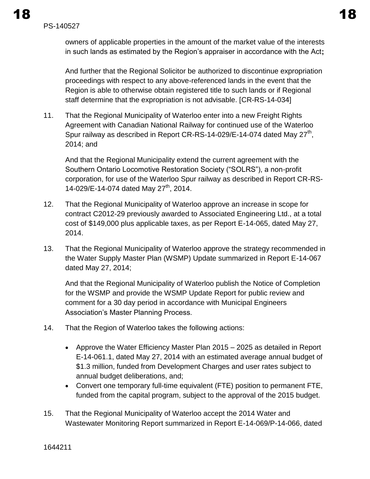owners of applicable properties in the amount of the market value of the interests in such lands as estimated by the Region's appraiser in accordance with the Act**;** 

And further that the Regional Solicitor be authorized to discontinue expropriation proceedings with respect to any above-referenced lands in the event that the Region is able to otherwise obtain registered title to such lands or if Regional staff determine that the expropriation is not advisable. [CR-RS-14-034]

11. That the Regional Municipality of Waterloo enter into a new Freight Rights Agreement with Canadian National Railway for continued use of the Waterloo Spur railway as described in Report CR-RS-14-029/E-14-074 dated May 27<sup>th</sup>, 2014; and

And that the Regional Municipality extend the current agreement with the Southern Ontario Locomotive Restoration Society ("SOLRS"), a non-profit corporation, for use of the Waterloo Spur railway as described in Report CR-RS-14-029/E-14-074 dated May  $27^{th}$ , 2014.

- 12. That the Regional Municipality of Waterloo approve an increase in scope for contract C2012-29 previously awarded to Associated Engineering Ltd., at a total cost of \$149,000 plus applicable taxes, as per Report E-14-065, dated May 27, 2014.
- 13. That the Regional Municipality of Waterloo approve the strategy recommended in the Water Supply Master Plan (WSMP) Update summarized in Report E-14-067 dated May 27, 2014;

And that the Regional Municipality of Waterloo publish the Notice of Completion for the WSMP and provide the WSMP Update Report for public review and comment for a 30 day period in accordance with Municipal Engineers Association's Master Planning Process.

- 14. That the Region of Waterloo takes the following actions:
	- Approve the Water Efficiency Master Plan 2015 2025 as detailed in Report E-14-061.1, dated May 27, 2014 with an estimated average annual budget of \$1.3 million, funded from Development Charges and user rates subject to annual budget deliberations, and;
	- Convert one temporary full-time equivalent (FTE) position to permanent FTE, funded from the capital program, subject to the approval of the 2015 budget.
- 15. That the Regional Municipality of Waterloo accept the 2014 Water and Wastewater Monitoring Report summarized in Report E-14-069/P-14-066, dated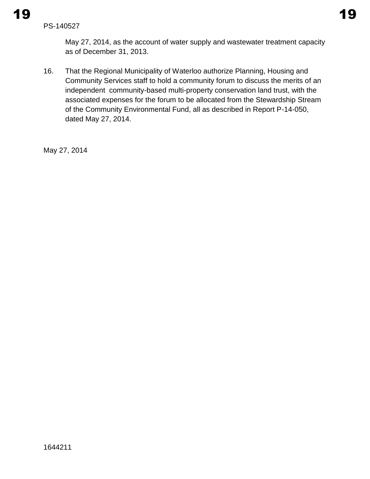May 27, 2014, as the account of water supply and wastewater treatment capacity as of December 31, 2013.

16. That the Regional Municipality of Waterloo authorize Planning, Housing and Community Services staff to hold a community forum to discuss the merits of an independent community-based multi-property conservation land trust, with the associated expenses for the forum to be allocated from the Stewardship Stream of the Community Environmental Fund, all as described in Report P-14-050, dated May 27, 2014.

May 27, 2014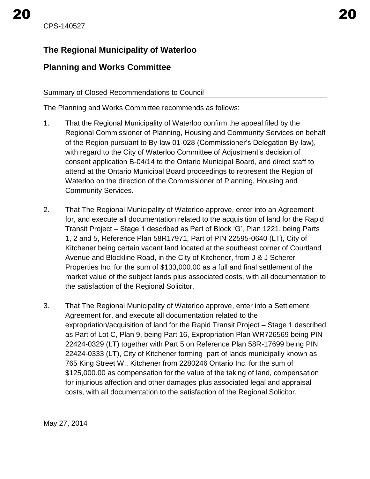<span id="page-23-0"></span>CPS-140527

# **The Regional Municipality of Waterloo**

# **Planning and Works Committee**

### Summary of Closed Recommendations to Council

The Planning and Works Committee recommends as follows:

- 1. That the Regional Municipality of Waterloo confirm the appeal filed by the Regional Commissioner of Planning, Housing and Community Services on behalf of the Region pursuant to By-law 01-028 (Commissioner's Delegation By-law), with regard to the City of Waterloo Committee of Adjustment's decision of consent application B-04/14 to the Ontario Municipal Board, and direct staff to attend at the Ontario Municipal Board proceedings to represent the Region of Waterloo on the direction of the Commissioner of Planning, Housing and Community Services.
- 2. That The Regional Municipality of Waterloo approve, enter into an Agreement for, and execute all documentation related to the acquisition of land for the Rapid Transit Project – Stage 1 described as Part of Block 'G', Plan 1221, being Parts 1, 2 and 5, Reference Plan 58R17971, Part of PIN 22595-0640 (LT), City of Kitchener being certain vacant land located at the southeast corner of Courtland Avenue and Blockline Road, in the City of Kitchener, from J & J Scherer Properties Inc. for the sum of \$133,000.00 as a full and final settlement of the market value of the subject lands plus associated costs, with all documentation to the satisfaction of the Regional Solicitor.
- 3. That The Regional Municipality of Waterloo approve, enter into a Settlement Agreement for, and execute all documentation related to the expropriation/acquisition of land for the Rapid Transit Project – Stage 1 described as Part of Lot C, Plan 9, being Part 16, Expropriation Plan WR726569 being PIN 22424-0329 (LT) together with Part 5 on Reference Plan 58R-17699 being PIN 22424-0333 (LT), City of Kitchener forming part of lands municipally known as 765 King Street W., Kitchener from 2280246 Ontario Inc. for the sum of \$125,000.00 as compensation for the value of the taking of land, compensation for injurious affection and other damages plus associated legal and appraisal costs, with all documentation to the satisfaction of the Regional Solicitor.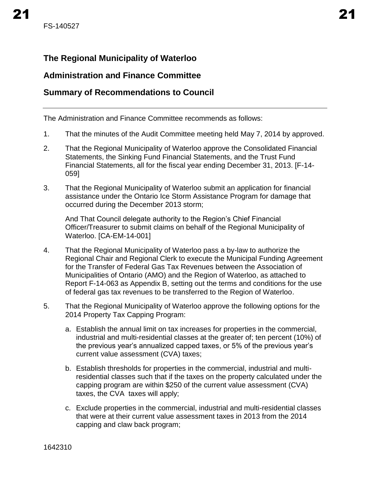# <span id="page-24-0"></span>**The Regional Municipality of Waterloo**

# **Administration and Finance Committee**

# **Summary of Recommendations to Council**

The Administration and Finance Committee recommends as follows:

- 1. That the minutes of the Audit Committee meeting held May 7, 2014 by approved.
- 2. That the Regional Municipality of Waterloo approve the Consolidated Financial Statements, the Sinking Fund Financial Statements, and the Trust Fund Financial Statements, all for the fiscal year ending December 31, 2013. [F-14- 059]
- 3. That the Regional Municipality of Waterloo submit an application for financial assistance under the Ontario Ice Storm Assistance Program for damage that occurred during the December 2013 storm;

And That Council delegate authority to the Region's Chief Financial Officer/Treasurer to submit claims on behalf of the Regional Municipality of Waterloo. [CA-EM-14-001]

- 4. That the Regional Municipality of Waterloo pass a by-law to authorize the Regional Chair and Regional Clerk to execute the Municipal Funding Agreement for the Transfer of Federal Gas Tax Revenues between the Association of Municipalities of Ontario (AMO) and the Region of Waterloo, as attached to Report F-14-063 as Appendix B, setting out the terms and conditions for the use of federal gas tax revenues to be transferred to the Region of Waterloo.
- 5. That the Regional Municipality of Waterloo approve the following options for the 2014 Property Tax Capping Program:
	- a. Establish the annual limit on tax increases for properties in the commercial, industrial and multi-residential classes at the greater of; ten percent (10%) of the previous year's annualized capped taxes, or 5% of the previous year's current value assessment (CVA) taxes;
	- b. Establish thresholds for properties in the commercial, industrial and multiresidential classes such that if the taxes on the property calculated under the capping program are within \$250 of the current value assessment (CVA) taxes, the CVA taxes will apply;
	- c. Exclude properties in the commercial, industrial and multi-residential classes that were at their current value assessment taxes in 2013 from the 2014 capping and claw back program;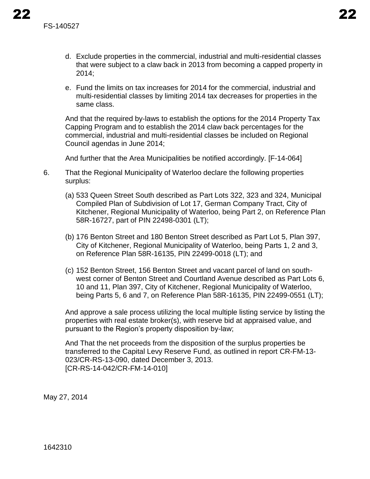- d. Exclude properties in the commercial, industrial and multi-residential classes that were subject to a claw back in 2013 from becoming a capped property in 2014;
- e. Fund the limits on tax increases for 2014 for the commercial, industrial and multi-residential classes by limiting 2014 tax decreases for properties in the same class.

And that the required by-laws to establish the options for the 2014 Property Tax Capping Program and to establish the 2014 claw back percentages for the commercial, industrial and multi-residential classes be included on Regional Council agendas in June 2014;

And further that the Area Municipalities be notified accordingly. [F-14-064]

- 6. That the Regional Municipality of Waterloo declare the following properties surplus:
	- (a) 533 Queen Street South described as Part Lots 322, 323 and 324, Municipal Compiled Plan of Subdivision of Lot 17, German Company Tract, City of Kitchener, Regional Municipality of Waterloo, being Part 2, on Reference Plan 58R-16727, part of PIN 22498-0301 (LT);
	- (b) 176 Benton Street and 180 Benton Street described as Part Lot 5, Plan 397, City of Kitchener, Regional Municipality of Waterloo, being Parts 1, 2 and 3, on Reference Plan 58R-16135, PIN 22499-0018 (LT); and
	- (c) 152 Benton Street, 156 Benton Street and vacant parcel of land on southwest corner of Benton Street and Courtland Avenue described as Part Lots 6, 10 and 11, Plan 397, City of Kitchener, Regional Municipality of Waterloo, being Parts 5, 6 and 7, on Reference Plan 58R-16135, PIN 22499-0551 (LT);

And approve a sale process utilizing the local multiple listing service by listing the properties with real estate broker(s), with reserve bid at appraised value, and pursuant to the Region's property disposition by-law;

And That the net proceeds from the disposition of the surplus properties be transferred to the Capital Levy Reserve Fund, as outlined in report CR-FM-13- 023/CR-RS-13-090, dated December 3, 2013. [CR-RS-14-042/CR-FM-14-010]

May 27, 2014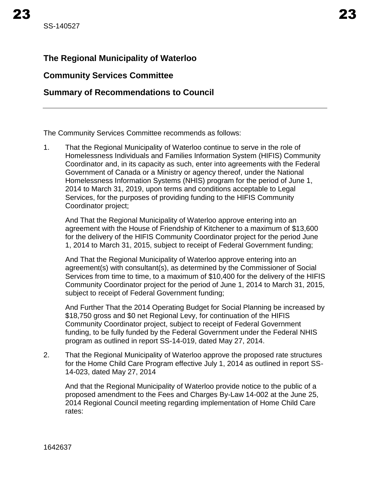# <span id="page-26-0"></span>**The Regional Municipality of Waterloo**

### **Community Services Committee**

# **Summary of Recommendations to Council**

The Community Services Committee recommends as follows:

1. That the Regional Municipality of Waterloo continue to serve in the role of Homelessness Individuals and Families Information System (HIFIS) Community Coordinator and, in its capacity as such, enter into agreements with the Federal Government of Canada or a Ministry or agency thereof, under the National Homelessness Information Systems (NHIS) program for the period of June 1, 2014 to March 31, 2019, upon terms and conditions acceptable to Legal Services, for the purposes of providing funding to the HIFIS Community Coordinator project;

And That the Regional Municipality of Waterloo approve entering into an agreement with the House of Friendship of Kitchener to a maximum of \$13,600 for the delivery of the HIFIS Community Coordinator project for the period June 1, 2014 to March 31, 2015, subject to receipt of Federal Government funding;

And That the Regional Municipality of Waterloo approve entering into an agreement(s) with consultant(s), as determined by the Commissioner of Social Services from time to time, to a maximum of \$10,400 for the delivery of the HIFIS Community Coordinator project for the period of June 1, 2014 to March 31, 2015, subject to receipt of Federal Government funding;

And Further That the 2014 Operating Budget for Social Planning be increased by \$18,750 gross and \$0 net Regional Levy, for continuation of the HIFIS Community Coordinator project, subject to receipt of Federal Government funding, to be fully funded by the Federal Government under the Federal NHIS program as outlined in report SS-14-019, dated May 27, 2014.

2. That the Regional Municipality of Waterloo approve the proposed rate structures for the Home Child Care Program effective July 1, 2014 as outlined in report SS-14-023, dated May 27, 2014

And that the Regional Municipality of Waterloo provide notice to the public of a proposed amendment to the Fees and Charges By-Law 14-002 at the June 25, 2014 Regional Council meeting regarding implementation of Home Child Care rates: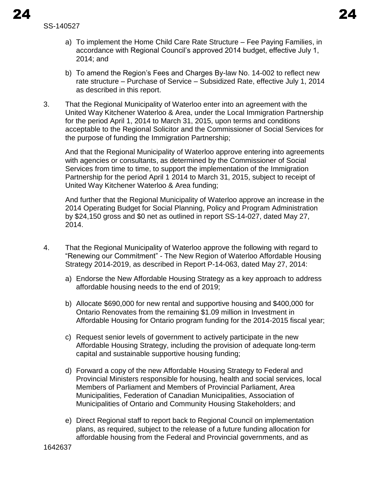SS-140527

- a) To implement the Home Child Care Rate Structure Fee Paying Families, in accordance with Regional Council's approved 2014 budget, effective July 1, 2014; and
- b) To amend the Region's Fees and Charges By-law No. 14-002 to reflect new rate structure – Purchase of Service – Subsidized Rate, effective July 1, 2014 as described in this report.
- 3. That the Regional Municipality of Waterloo enter into an agreement with the United Way Kitchener Waterloo & Area, under the Local Immigration Partnership for the period April 1, 2014 to March 31, 2015, upon terms and conditions acceptable to the Regional Solicitor and the Commissioner of Social Services for the purpose of funding the Immigration Partnership;

And that the Regional Municipality of Waterloo approve entering into agreements with agencies or consultants, as determined by the Commissioner of Social Services from time to time, to support the implementation of the Immigration Partnership for the period April 1 2014 to March 31, 2015, subject to receipt of United Way Kitchener Waterloo & Area funding;

And further that the Regional Municipality of Waterloo approve an increase in the 2014 Operating Budget for Social Planning, Policy and Program Administration by \$24,150 gross and \$0 net as outlined in report SS-14-027, dated May 27, 2014.

- 4. That the Regional Municipality of Waterloo approve the following with regard to "Renewing our Commitment" - The New Region of Waterloo Affordable Housing Strategy 2014-2019, as described in Report P-14-063, dated May 27, 2014:
	- a) Endorse the New Affordable Housing Strategy as a key approach to address affordable housing needs to the end of 2019;
	- b) Allocate \$690,000 for new rental and supportive housing and \$400,000 for Ontario Renovates from the remaining \$1.09 million in Investment in Affordable Housing for Ontario program funding for the 2014-2015 fiscal year;
	- c) Request senior levels of government to actively participate in the new Affordable Housing Strategy, including the provision of adequate long-term capital and sustainable supportive housing funding;
	- d) Forward a copy of the new Affordable Housing Strategy to Federal and Provincial Ministers responsible for housing, health and social services, local Members of Parliament and Members of Provincial Parliament, Area Municipalities, Federation of Canadian Municipalities, Association of Municipalities of Ontario and Community Housing Stakeholders; and
	- e) Direct Regional staff to report back to Regional Council on implementation plans, as required, subject to the release of a future funding allocation for affordable housing from the Federal and Provincial governments, and as